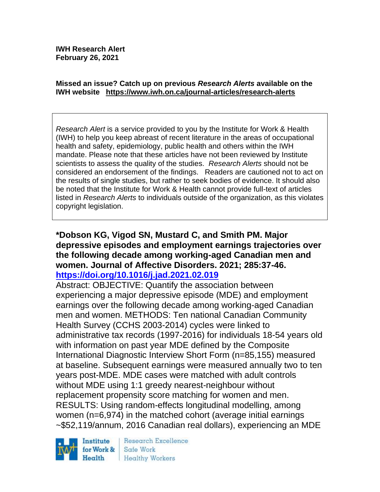#### **Missed an issue? Catch up on previous** *Research Alerts* **available on the [IWH website](http://www.iwh.on.ca/research-alerts) <https://www.iwh.on.ca/journal-articles/research-alerts>**

*Research Alert* is a service provided to you by the Institute for Work & Health (IWH) to help you keep abreast of recent literature in the areas of occupational health and safety, epidemiology, public health and others within the IWH mandate. Please note that these articles have not been reviewed by Institute scientists to assess the quality of the studies. *Research Alerts* should not be considered an endorsement of the findings. Readers are cautioned not to act on the results of single studies, but rather to seek bodies of evidence. It should also be noted that the Institute for Work & Health cannot provide full-text of articles listed in *Research Alerts* to individuals outside of the organization, as this violates copyright legislation.

#### **\*Dobson KG, Vigod SN, Mustard C, and Smith PM. Major depressive episodes and employment earnings trajectories over the following decade among working-aged Canadian men and women. Journal of Affective Disorders. 2021; 285:37-46. <https://doi.org/10.1016/j.jad.2021.02.019>**

Abstract: OBJECTIVE: Quantify the association between experiencing a major depressive episode (MDE) and employment earnings over the following decade among working-aged Canadian men and women. METHODS: Ten national Canadian Community Health Survey (CCHS 2003-2014) cycles were linked to administrative tax records (1997-2016) for individuals 18-54 years old with information on past year MDE defined by the Composite International Diagnostic Interview Short Form (n=85,155) measured at baseline. Subsequent earnings were measured annually two to ten years post-MDE. MDE cases were matched with adult controls without MDE using 1:1 greedy nearest-neighbour without replacement propensity score matching for women and men. RESULTS: Using random-effects longitudinal modelling, among women (n=6,974) in the matched cohort (average initial earnings ~\$52,119/annum, 2016 Canadian real dollars), experiencing an MDE



Research Excellence Safe Work Healthy Workers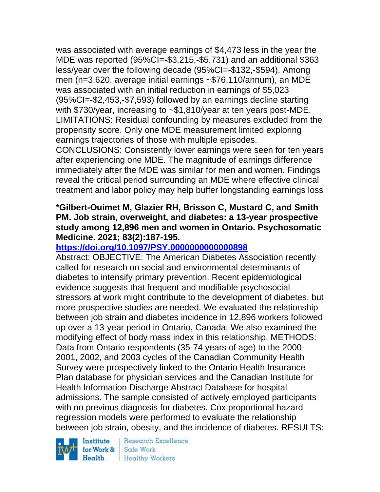was associated with average earnings of \$4,473 less in the year the MDE was reported (95%CI=-\$3,215,-\$5,731) and an additional \$363 less/year over the following decade (95%CI=-\$132,-\$594). Among men (n=3,620, average initial earnings ~\$76,110/annum), an MDE was associated with an initial reduction in earnings of \$5,023 (95%CI=-\$2,453,-\$7,593) followed by an earnings decline starting with \$730/year, increasing to ~\$1,810/year at ten years post-MDE. LIMITATIONS: Residual confounding by measures excluded from the propensity score. Only one MDE measurement limited exploring earnings trajectories of those with multiple episodes.

CONCLUSIONS: Consistently lower earnings were seen for ten years after experiencing one MDE. The magnitude of earnings difference immediately after the MDE was similar for men and women. Findings reveal the critical period surrounding an MDE where effective clinical treatment and labor policy may help buffer longstanding earnings loss

#### **\*Gilbert-Ouimet M, Glazier RH, Brisson C, Mustard C, and Smith PM. Job strain, overweight, and diabetes: a 13-year prospective study among 12,896 men and women in Ontario. Psychosomatic Medicine. 2021; 83(2):187-195.**

### **<https://doi.org/10.1097/PSY.0000000000000898>**

Abstract: OBJECTIVE: The American Diabetes Association recently called for research on social and environmental determinants of diabetes to intensify primary prevention. Recent epidemiological evidence suggests that frequent and modifiable psychosocial stressors at work might contribute to the development of diabetes, but more prospective studies are needed. We evaluated the relationship between job strain and diabetes incidence in 12,896 workers followed up over a 13-year period in Ontario, Canada. We also examined the modifying effect of body mass index in this relationship. METHODS: Data from Ontario respondents (35-74 years of age) to the 2000- 2001, 2002, and 2003 cycles of the Canadian Community Health Survey were prospectively linked to the Ontario Health Insurance Plan database for physician services and the Canadian Institute for Health Information Discharge Abstract Database for hospital admissions. The sample consisted of actively employed participants with no previous diagnosis for diabetes. Cox proportional hazard regression models were performed to evaluate the relationship between job strain, obesity, and the incidence of diabetes. RESULTS:

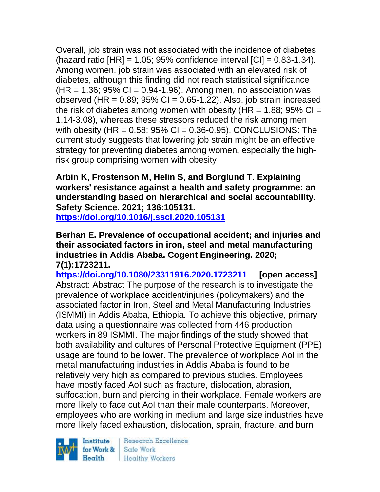Overall, job strain was not associated with the incidence of diabetes (hazard ratio  $[HR] = 1.05$ ; 95% confidence interval  $[CI] = 0.83 - 1.34$ ). Among women, job strain was associated with an elevated risk of diabetes, although this finding did not reach statistical significance  $(HR = 1.36; 95\% CI = 0.94-1.96)$ . Among men, no association was observed (HR =  $0.89$ ;  $95\%$  CI =  $0.65$ -1.22). Also, job strain increased the risk of diabetes among women with obesity (HR =  $1.88$ ; 95% CI = 1.14-3.08), whereas these stressors reduced the risk among men with obesity  $(HR = 0.58; 95\% \text{ Cl} = 0.36-0.95)$ . CONCLUSIONS: The current study suggests that lowering job strain might be an effective strategy for preventing diabetes among women, especially the highrisk group comprising women with obesity

**Arbin K, Frostenson M, Helin S, and Borglund T. Explaining workers' resistance against a health and safety programme: an understanding based on hierarchical and social accountability. Safety Science. 2021; 136:105131.**

**<https://doi.org/10.1016/j.ssci.2020.105131>** 

**Berhan E. Prevalence of occupational accident; and injuries and their associated factors in iron, steel and metal manufacturing industries in Addis Ababa. Cogent Engineering. 2020; 7(1):1723211.**

**<https://doi.org/10.1080/23311916.2020.1723211> [open access]** Abstract: Abstract The purpose of the research is to investigate the prevalence of workplace accident/injuries (policymakers) and the associated factor in Iron, Steel and Metal Manufacturing Industries (ISMMI) in Addis Ababa, Ethiopia. To achieve this objective, primary data using a questionnaire was collected from 446 production workers in 89 ISMMI. The major findings of the study showed that both availability and cultures of Personal Protective Equipment (PPE) usage are found to be lower. The prevalence of workplace AoI in the metal manufacturing industries in Addis Ababa is found to be relatively very high as compared to previous studies. Employees have mostly faced AoI such as fracture, dislocation, abrasion, suffocation, burn and piercing in their workplace. Female workers are more likely to face cut AoI than their male counterparts. Moreover, employees who are working in medium and large size industries have more likely faced exhaustion, dislocation, sprain, fracture, and burn

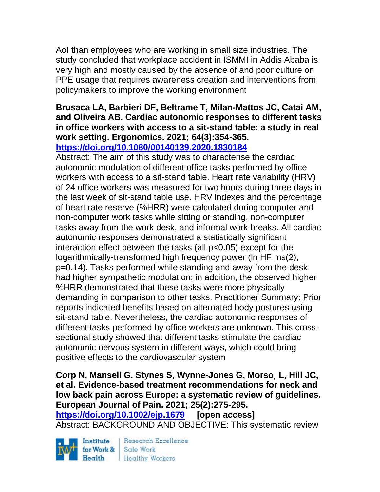AoI than employees who are working in small size industries. The study concluded that workplace accident in ISMMI in Addis Ababa is very high and mostly caused by the absence of and poor culture on PPE usage that requires awareness creation and interventions from policymakers to improve the working environment

# **Brusaca LA, Barbieri DF, Beltrame T, Milan-Mattos JC, Catai AM, and Oliveira AB. Cardiac autonomic responses to different tasks in office workers with access to a sit-stand table: a study in real work setting. Ergonomics. 2021; 64(3):354-365.**

**<https://doi.org/10.1080/00140139.2020.1830184>** 

Abstract: The aim of this study was to characterise the cardiac autonomic modulation of different office tasks performed by office workers with access to a sit-stand table. Heart rate variability (HRV) of 24 office workers was measured for two hours during three days in the last week of sit-stand table use. HRV indexes and the percentage of heart rate reserve (%HRR) were calculated during computer and non-computer work tasks while sitting or standing, non-computer tasks away from the work desk, and informal work breaks. All cardiac autonomic responses demonstrated a statistically significant interaction effect between the tasks (all p<0.05) except for the logarithmically-transformed high frequency power (ln HF ms(2); p=0.14). Tasks performed while standing and away from the desk had higher sympathetic modulation; in addition, the observed higher %HRR demonstrated that these tasks were more physically demanding in comparison to other tasks. Practitioner Summary: Prior reports indicated benefits based on alternated body postures using sit-stand table. Nevertheless, the cardiac autonomic responses of different tasks performed by office workers are unknown. This crosssectional study showed that different tasks stimulate the cardiac autonomic nervous system in different ways, which could bring positive effects to the cardiovascular system

**Corp N, Mansell G, Stynes S, Wynne-Jones G, Morso¸ L, Hill JC, et al. Evidence-based treatment recommendations for neck and low back pain across Europe: a systematic review of guidelines. European Journal of Pain. 2021; 25(2):275-295.** 

**<https://doi.org/10.1002/ejp.1679> [open access]** Abstract: BACKGROUND AND OBJECTIVE: This systematic review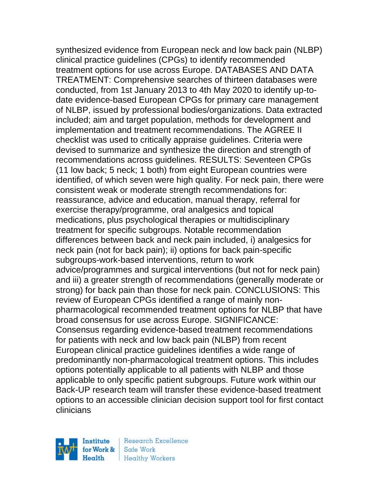synthesized evidence from European neck and low back pain (NLBP) clinical practice guidelines (CPGs) to identify recommended treatment options for use across Europe. DATABASES AND DATA TREATMENT: Comprehensive searches of thirteen databases were conducted, from 1st January 2013 to 4th May 2020 to identify up-todate evidence-based European CPGs for primary care management of NLBP, issued by professional bodies/organizations. Data extracted included; aim and target population, methods for development and implementation and treatment recommendations. The AGREE II checklist was used to critically appraise guidelines. Criteria were devised to summarize and synthesize the direction and strength of recommendations across guidelines. RESULTS: Seventeen CPGs (11 low back; 5 neck; 1 both) from eight European countries were identified, of which seven were high quality. For neck pain, there were consistent weak or moderate strength recommendations for: reassurance, advice and education, manual therapy, referral for exercise therapy/programme, oral analgesics and topical medications, plus psychological therapies or multidisciplinary treatment for specific subgroups. Notable recommendation differences between back and neck pain included, i) analgesics for neck pain (not for back pain); ii) options for back pain-specific subgroups-work-based interventions, return to work advice/programmes and surgical interventions (but not for neck pain) and iii) a greater strength of recommendations (generally moderate or strong) for back pain than those for neck pain. CONCLUSIONS: This review of European CPGs identified a range of mainly nonpharmacological recommended treatment options for NLBP that have broad consensus for use across Europe. SIGNIFICANCE: Consensus regarding evidence-based treatment recommendations for patients with neck and low back pain (NLBP) from recent European clinical practice guidelines identifies a wide range of predominantly non-pharmacological treatment options. This includes options potentially applicable to all patients with NLBP and those applicable to only specific patient subgroups. Future work within our Back-UP research team will transfer these evidence-based treatment options to an accessible clinician decision support tool for first contact clinicians

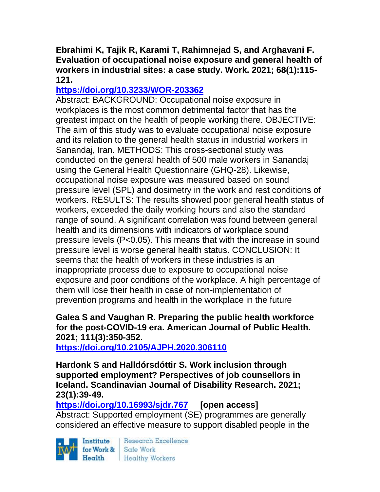### **Ebrahimi K, Tajik R, Karami T, Rahimnejad S, and Arghavani F. Evaluation of occupational noise exposure and general health of workers in industrial sites: a case study. Work. 2021; 68(1):115- 121.**

# **<https://doi.org/10.3233/WOR-203362>**

Abstract: BACKGROUND: Occupational noise exposure in workplaces is the most common detrimental factor that has the greatest impact on the health of people working there. OBJECTIVE: The aim of this study was to evaluate occupational noise exposure and its relation to the general health status in industrial workers in Sanandaj, Iran. METHODS: This cross-sectional study was conducted on the general health of 500 male workers in Sanandaj using the General Health Questionnaire (GHQ-28). Likewise, occupational noise exposure was measured based on sound pressure level (SPL) and dosimetry in the work and rest conditions of workers. RESULTS: The results showed poor general health status of workers, exceeded the daily working hours and also the standard range of sound. A significant correlation was found between general health and its dimensions with indicators of workplace sound pressure levels (P<0.05). This means that with the increase in sound pressure level is worse general health status. CONCLUSION: It seems that the health of workers in these industries is an inappropriate process due to exposure to occupational noise exposure and poor conditions of the workplace. A high percentage of them will lose their health in case of non-implementation of prevention programs and health in the workplace in the future

#### **Galea S and Vaughan R. Preparing the public health workforce for the post-COVID-19 era. American Journal of Public Health. 2021; 111(3):350-352.**

**<https://doi.org/10.2105/AJPH.2020.306110>** 

**Hardonk S and Halldórsdóttir S. Work inclusion through supported employment? Perspectives of job counsellors in Iceland. Scandinavian Journal of Disability Research. 2021; 23(1):39-49.** 

**<https://doi.org/10.16993/sjdr.767> [open access]** Abstract: Supported employment (SE) programmes are generally considered an effective measure to support disabled people in the

Institute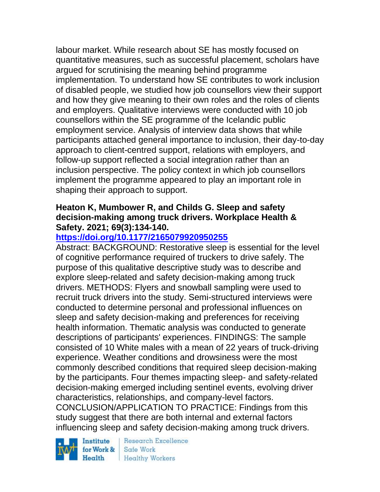labour market. While research about SE has mostly focused on quantitative measures, such as successful placement, scholars have argued for scrutinising the meaning behind programme implementation. To understand how SE contributes to work inclusion of disabled people, we studied how job counsellors view their support and how they give meaning to their own roles and the roles of clients and employers. Qualitative interviews were conducted with 10 job counsellors within the SE programme of the Icelandic public employment service. Analysis of interview data shows that while participants attached general importance to inclusion, their day-to-day approach to client-centred support, relations with employers, and follow-up support reflected a social integration rather than an inclusion perspective. The policy context in which job counsellors implement the programme appeared to play an important role in shaping their approach to support.

### **Heaton K, Mumbower R, and Childs G. Sleep and safety decision-making among truck drivers. Workplace Health & Safety. 2021; 69(3):134-140.**

# **<https://doi.org/10.1177/2165079920950255>**

Abstract: BACKGROUND: Restorative sleep is essential for the level of cognitive performance required of truckers to drive safely. The purpose of this qualitative descriptive study was to describe and explore sleep-related and safety decision-making among truck drivers. METHODS: Flyers and snowball sampling were used to recruit truck drivers into the study. Semi-structured interviews were conducted to determine personal and professional influences on sleep and safety decision-making and preferences for receiving health information. Thematic analysis was conducted to generate descriptions of participants' experiences. FINDINGS: The sample consisted of 10 White males with a mean of 22 years of truck-driving experience. Weather conditions and drowsiness were the most commonly described conditions that required sleep decision-making by the participants. Four themes impacting sleep- and safety-related decision-making emerged including sentinel events, evolving driver characteristics, relationships, and company-level factors. CONCLUSION/APPLICATION TO PRACTICE: Findings from this study suggest that there are both internal and external factors influencing sleep and safety decision-making among truck drivers.

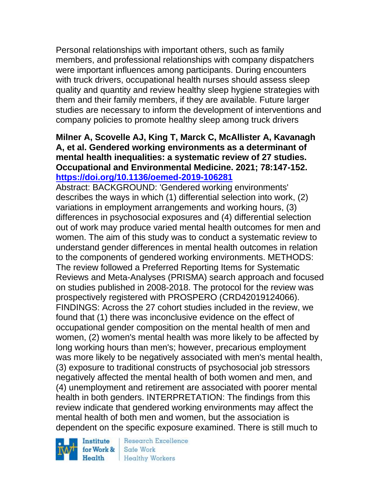Personal relationships with important others, such as family members, and professional relationships with company dispatchers were important influences among participants. During encounters with truck drivers, occupational health nurses should assess sleep quality and quantity and review healthy sleep hygiene strategies with them and their family members, if they are available. Future larger studies are necessary to inform the development of interventions and company policies to promote healthy sleep among truck drivers

### **Milner A, Scovelle AJ, King T, Marck C, McAllister A, Kavanagh A, et al. Gendered working environments as a determinant of mental health inequalities: a systematic review of 27 studies. Occupational and Environmental Medicine. 2021; 78:147-152. <https://doi.org/10.1136/oemed-2019-106281>**

Abstract: BACKGROUND: 'Gendered working environments' describes the ways in which (1) differential selection into work, (2) variations in employment arrangements and working hours, (3) differences in psychosocial exposures and (4) differential selection out of work may produce varied mental health outcomes for men and women. The aim of this study was to conduct a systematic review to understand gender differences in mental health outcomes in relation to the components of gendered working environments. METHODS: The review followed a Preferred Reporting Items for Systematic Reviews and Meta-Analyses (PRISMA) search approach and focused on studies published in 2008-2018. The protocol for the review was prospectively registered with PROSPERO (CRD42019124066). FINDINGS: Across the 27 cohort studies included in the review, we found that (1) there was inconclusive evidence on the effect of occupational gender composition on the mental health of men and women, (2) women's mental health was more likely to be affected by long working hours than men's; however, precarious employment was more likely to be negatively associated with men's mental health, (3) exposure to traditional constructs of psychosocial job stressors negatively affected the mental health of both women and men, and (4) unemployment and retirement are associated with poorer mental health in both genders. INTERPRETATION: The findings from this review indicate that gendered working environments may affect the mental health of both men and women, but the association is dependent on the specific exposure examined. There is still much to

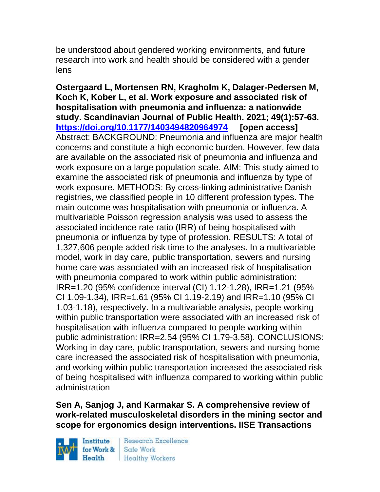be understood about gendered working environments, and future research into work and health should be considered with a gender lens

**Ostergaard L, Mortensen RN, Kragholm K, Dalager-Pedersen M, Koch K, Kober L, et al. Work exposure and associated risk of hospitalisation with pneumonia and influenza: a nationwide study. Scandinavian Journal of Public Health. 2021; 49(1):57-63. <https://doi.org/10.1177/1403494820964974> [open access]** Abstract: BACKGROUND: Pneumonia and influenza are major health concerns and constitute a high economic burden. However, few data are available on the associated risk of pneumonia and influenza and work exposure on a large population scale. AIM: This study aimed to examine the associated risk of pneumonia and influenza by type of work exposure. METHODS: By cross-linking administrative Danish registries, we classified people in 10 different profession types. The main outcome was hospitalisation with pneumonia or influenza. A multivariable Poisson regression analysis was used to assess the associated incidence rate ratio (IRR) of being hospitalised with pneumonia or influenza by type of profession. RESULTS: A total of 1,327,606 people added risk time to the analyses. In a multivariable model, work in day care, public transportation, sewers and nursing home care was associated with an increased risk of hospitalisation with pneumonia compared to work within public administration: IRR=1.20 (95% confidence interval (CI) 1.12-1.28), IRR=1.21 (95% CI 1.09-1.34), IRR=1.61 (95% CI 1.19-2.19) and IRR=1.10 (95% CI 1.03-1.18), respectively. In a multivariable analysis, people working within public transportation were associated with an increased risk of hospitalisation with influenza compared to people working within public administration: IRR=2.54 (95% CI 1.79-3.58). CONCLUSIONS: Working in day care, public transportation, sewers and nursing home care increased the associated risk of hospitalisation with pneumonia, and working within public transportation increased the associated risk of being hospitalised with influenza compared to working within public administration

**Sen A, Sanjog J, and Karmakar S. A comprehensive review of work-related musculoskeletal disorders in the mining sector and scope for ergonomics design interventions. IISE Transactions** 

Institute Health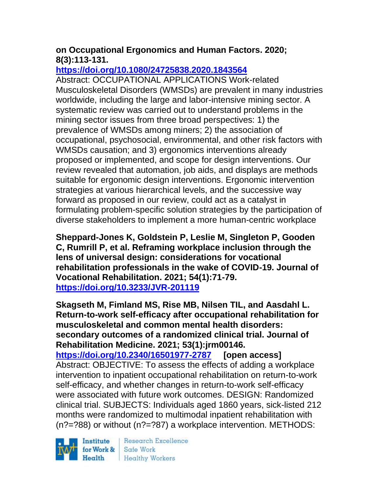# **on Occupational Ergonomics and Human Factors. 2020; 8(3):113-131.**

# **<https://doi.org/10.1080/24725838.2020.1843564>**

Abstract: OCCUPATIONAL APPLICATIONS Work-related Musculoskeletal Disorders (WMSDs) are prevalent in many industries worldwide, including the large and labor-intensive mining sector. A systematic review was carried out to understand problems in the mining sector issues from three broad perspectives: 1) the prevalence of WMSDs among miners; 2) the association of occupational, psychosocial, environmental, and other risk factors with WMSDs causation; and 3) ergonomics interventions already proposed or implemented, and scope for design interventions. Our review revealed that automation, job aids, and displays are methods suitable for ergonomic design interventions. Ergonomic intervention strategies at various hierarchical levels, and the successive way forward as proposed in our review, could act as a catalyst in formulating problem-specific solution strategies by the participation of diverse stakeholders to implement a more human-centric workplace

**Sheppard-Jones K, Goldstein P, Leslie M, Singleton P, Gooden C, Rumrill P, et al. Reframing workplace inclusion through the lens of universal design: considerations for vocational rehabilitation professionals in the wake of COVID-19. Journal of Vocational Rehabilitation. 2021; 54(1):71-79. <https://doi.org/10.3233/JVR-201119>** 

**Skagseth M, Fimland MS, Rise MB, Nilsen TIL, and Aasdahl L. Return-to-work self-efficacy after occupational rehabilitation for musculoskeletal and common mental health disorders: secondary outcomes of a randomized clinical trial. Journal of Rehabilitation Medicine. 2021; 53(1):jrm00146.**

**<https://doi.org/10.2340/16501977-2787> [open access]** Abstract: OBJECTIVE: To assess the effects of adding a workplace intervention to inpatient occupational rehabilitation on return-to-work self-efficacy, and whether changes in return-to-work self-efficacy were associated with future work outcomes. DESIGN: Randomized clinical trial. SUBJECTS: Individuals aged 1860 years, sick-listed 212 months were randomized to multimodal inpatient rehabilitation with (n?=?88) or without (n?=?87) a workplace intervention. METHODS:

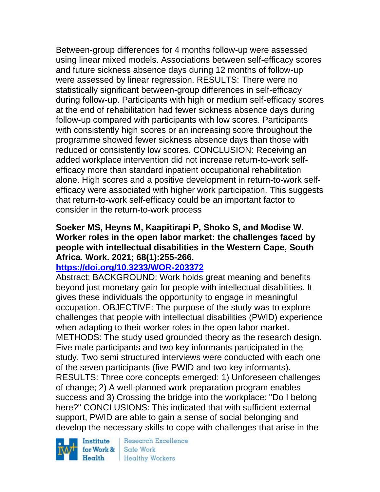Between-group differences for 4 months follow-up were assessed using linear mixed models. Associations between self-efficacy scores and future sickness absence days during 12 months of follow-up were assessed by linear regression. RESULTS: There were no statistically significant between-group differences in self-efficacy during follow-up. Participants with high or medium self-efficacy scores at the end of rehabilitation had fewer sickness absence days during follow-up compared with participants with low scores. Participants with consistently high scores or an increasing score throughout the programme showed fewer sickness absence days than those with reduced or consistently low scores. CONCLUSION: Receiving an added workplace intervention did not increase return-to-work selfefficacy more than standard inpatient occupational rehabilitation alone. High scores and a positive development in return-to-work selfefficacy were associated with higher work participation. This suggests that return-to-work self-efficacy could be an important factor to consider in the return-to-work process

### **Soeker MS, Heyns M, Kaapitirapi P, Shoko S, and Modise W. Worker roles in the open labor market: the challenges faced by people with intellectual disabilities in the Western Cape, South Africa. Work. 2021; 68(1):255-266.**

# **<https://doi.org/10.3233/WOR-203372>**

Abstract: BACKGROUND: Work holds great meaning and benefits beyond just monetary gain for people with intellectual disabilities. It gives these individuals the opportunity to engage in meaningful occupation. OBJECTIVE: The purpose of the study was to explore challenges that people with intellectual disabilities (PWID) experience when adapting to their worker roles in the open labor market. METHODS: The study used grounded theory as the research design. Five male participants and two key informants participated in the study. Two semi structured interviews were conducted with each one of the seven participants (five PWID and two key informants). RESULTS: Three core concepts emerged: 1) Unforeseen challenges of change; 2) A well-planned work preparation program enables success and 3) Crossing the bridge into the workplace: "Do I belong here?" CONCLUSIONS: This indicated that with sufficient external support, PWID are able to gain a sense of social belonging and develop the necessary skills to cope with challenges that arise in the